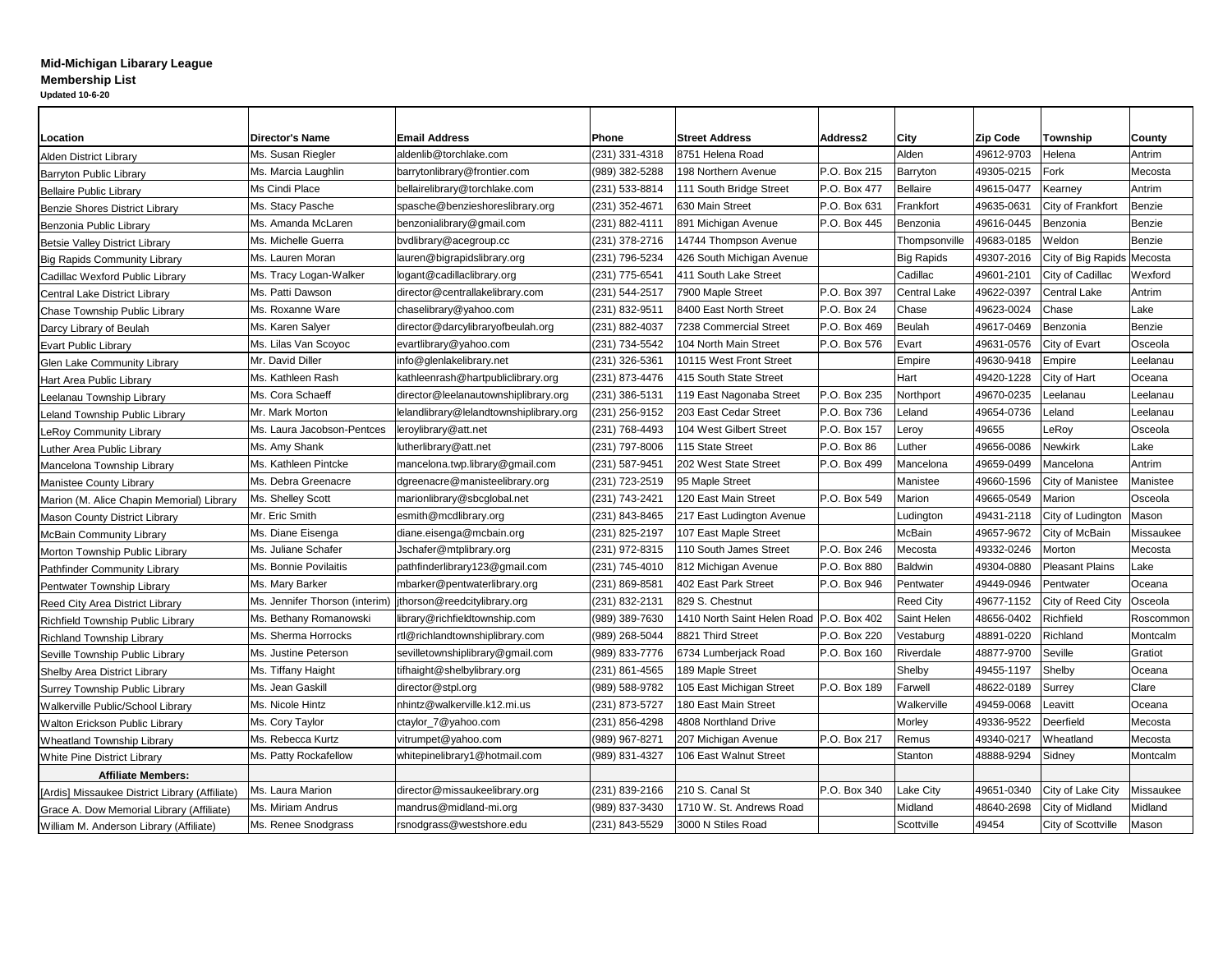## **Mid-Michigan Libarary League Membership List Updated 10-6-20**

| <b>Location</b>                                | <b>Director's Name</b>                                        | <b>Email Address</b>                    | <b>Phone</b>                                                         | <b>Street Address</b>                                      | <b>Address2</b>     | City                   | <b>Zip Code</b>            | <b>Township</b>           | County        |
|------------------------------------------------|---------------------------------------------------------------|-----------------------------------------|----------------------------------------------------------------------|------------------------------------------------------------|---------------------|------------------------|----------------------------|---------------------------|---------------|
| <b>Alden District Library</b>                  | Ms. Susan Riegler                                             | aldenlib@torchlake.com                  | $(231)$ 331-4318                                                     | 8751 Helena Road<br>Alden                                  |                     |                        | 49612-9703                 | Helena                    | Antrim        |
| <b>Barryton Public Library</b>                 | Ms. Marcia Laughlin                                           | barrytonlibrary@frontier.com            | $(989)$ 382-5288<br>P.O. Box 215<br>198 Northern Avenue<br> Barryton |                                                            |                     | 49305-0215             | Fork                       | Mecosta                   |               |
| <b>Bellaire Public Library</b>                 | Ms Cindi Place                                                | bellairelibrary@torchlake.com           | $(231) 533 - 8814$                                                   | 111 South Bridge Street                                    | P.O. Box 477        | <b>Bellaire</b>        | 49615-0477                 | Kearney                   | Antrim        |
| <b>Benzie Shores District Library</b>          | Ms. Stacy Pasche                                              | spasche@benzieshoreslibrary.org         | $(231)$ 352-4671                                                     | 630 Main Street                                            | P.O. Box 631        | Frankfort              | 49635-0631                 | City of Frankfort         | Benzie        |
| Benzonia Public Library                        | Ms. Amanda McLaren                                            | benzonialibrary@gmail.com               | $(231) 882 - 4111$                                                   | 891 Michigan Avenue                                        | P.O. Box 445        | Benzonia               | 49616-0445                 | Benzonia                  | Benzie        |
| Betsie Valley District Library                 | Ms. Michelle Guerra                                           | bvdlibrary@acegroup.cc                  | $(231)$ 378-2716                                                     | 14744 Thompson Avenue                                      |                     | 'Thompsonville         | 49683-0185                 | Weldon                    | Benzie        |
| <b>Big Rapids Community Library</b>            | Ms. Lauren Moran                                              | lauren@bigrapidslibrary.org             | $(231)$ 796-5234<br>426 South Michigan Avenue                        |                                                            | <b>Big Rapids</b>   | 49307-2016             | City of Big Rapids Mecosta |                           |               |
| Cadillac Wexford Public Library                | Ms. Tracy Logan-Walker                                        | logant@cadillaclibrary.org              | $(231)$ 775-6541                                                     | 411 South Lake Street                                      |                     | Cadillac               | 49601-2101                 | City of Cadillac          | Wexford       |
| Central Lake District Library                  | Ms. Patti Dawson                                              | director@centrallakelibrary.com         | $ (231) 544 - 2517$                                                  | 7900 Maple Street<br>P.O. Box 397                          |                     | Central Lake           | 49622-0397                 | <b>Central Lake</b>       | Antrim        |
| <b>Chase Township Public Library</b>           | Ms. Roxanne Ware                                              | chaselibrary@yahoo.com                  | $\vert$ (231) 832-9511                                               | P.O. Box 24 <br>8400 East North Street                     |                     | <b>Chase</b>           | 49623-0024                 | Chase                     | Lake          |
| Darcy Library of Beulah                        | Ms. Karen Salyer                                              | director@darcylibraryofbeulah.org       | $(231) 882 - 4037$                                                   | <b>7238 Commercial Street</b>                              | P.O. Box 469        | Beulah                 | 49617-0469                 | <b>Benzonia</b>           | Benzie        |
| <b>Evart Public Library</b>                    | Ms. Lilas Van Scoyoc                                          | evartlibrary@yahoo.com                  | $(231) 734 - 5542$                                                   | $P.O.$ Box 576<br>104 North Main Street                    |                     | <b>Evart</b>           | 49631-0576                 | City of Evart             | Osceola       |
| <b>Glen Lake Community Library</b>             | Mr. David Diller                                              | info@glenlakelibrary.net                | $(231)$ 326-5361                                                     | 10115 West Front Street                                    |                     | Empire                 | 49630-9418                 | Empire                    | Leelanau      |
| Hart Area Public Library                       | Ms. Kathleen Rash                                             | kathleenrash@hartpubliclibrary.org      | (231) 873-4476                                                       | 415 South State Street                                     |                     | <b>Hart</b>            | 49420-1228                 | City of Hart              | <b>Oceana</b> |
| Leelanau Township Library                      | Ms. Cora Schaeff                                              | director@leelanautownshiplibrary.org    | $(231)$ 386-5131                                                     | 119 East Nagonaba Street                                   | P.O. Box 235        | Northport              | 49670-0235                 | Leelanau                  | Leelanau      |
| <b>Leland Township Public Library</b>          | Mr. Mark Morton                                               | lelandlibrary@lelandtownshiplibrary.org | $(231)$ 256-9152<br>203 East Cedar Street                            |                                                            | P.O. Box 736        | Leland                 | 49654-0736                 | Leland                    | Leelanau      |
| <b>LeRoy Community Library</b>                 | Ms. Laura Jacobson-Pentces                                    | leroylibrary@att.net                    | $(231)$ 768-4493                                                     | <b>104 West Gilbert Street</b><br><b>P.O. Box 157</b>      |                     | Leroy                  | 49655                      | LeRoy                     | Osceola       |
| Luther Area Public Library                     | Ms. Amy Shank                                                 | lutherlibrary@att.net                   | $(231)$ 797-8006                                                     | 115 State Street                                           | $P.O.$ Box 86       | Luther                 | 49656-0086                 | <b>Newkirk</b>            | Lake          |
| Mancelona Township Library                     | Ms. Kathleen Pintcke                                          | mancelona.twp.library@gmail.com         | $(231) 587 - 9451$                                                   | 202 West State Street                                      | P.O. Box 499        | Mancelona              | 49659-0499                 | Mancelona                 | Antrim        |
| <b>Manistee County Library</b>                 | Ms. Debra Greenacre                                           | dgreenacre@manisteelibrary.org          | (231) 723-2519                                                       | 95 Maple Street                                            |                     | Manistee               | 49660-1596                 | <b>City of Manistee</b>   | Manistee      |
| Marion (M. Alice Chapin Memorial) Library      | Ms. Shelley Scott                                             | marionlibrary@sbcglobal.net             | $(231)$ 743-2421                                                     | 120 East Main Street                                       | P.O. Box 549        | Marion                 | 49665-0549                 | Marion                    | Osceola       |
| <b>Mason County District Library</b>           | Mr. Eric Smith                                                | esmith@mcdlibrary.org                   | $(231) 843 - 8465$                                                   | 217 East Ludington Avenue                                  |                     | Ludington              | 49431-2118                 | City of Ludington         | Mason         |
| <b>McBain Community Library</b>                | Ms. Diane Eisenga                                             | diane.eisenga@mcbain.org                | $(231)$ 825-2197                                                     | 107 East Maple Street                                      |                     | McBain                 | 49657-9672                 | City of McBain            | Missaukee     |
| Morton Township Public Library                 | Ms. Juliane Schafer                                           | Jschafer@mtplibrary.org                 | $(231)$ 972-8315                                                     | 110 South James Street                                     | $P.O.$ Box 246      | Mecosta                | 49332-0246                 | Morton                    | Mecosta       |
| <b>Pathfinder Community Library</b>            | Ms. Bonnie Povilaitis                                         | pathfinderlibrary123@gmail.com          | $(231)$ 745-4010                                                     | 812 Michigan Avenue<br>P.O. Box 880                        |                     | Baldwin                | 49304-0880                 | Pleasant Plains           | Lake          |
| <b>Pentwater Township Library</b>              | Ms. Mary Barker                                               | mbarker@pentwaterlibrary.org            | $(231) 869 - 8581$                                                   | 402 East Park Street                                       | <b>P.O. Box 946</b> | Pentwater              | 49449-0946                 | Pentwater                 | Oceana        |
| <b>Reed City Area District Library</b>         | Ms. Jennifer Thorson (interim)   jthorson@reedcitylibrary.org |                                         | $(231) 832 - 2131$                                                   | 829 S. Chestnut                                            |                     | <b>Reed City</b>       | 49677-1152                 | <b>City of Reed City</b>  | Osceola       |
| <b>Richfield Township Public Library</b>       | Ms. Bethany Romanowski                                        | library@richfieldtownship.com           | $(989)$ 389-7630                                                     | 1410 North Saint Helen Road   P.O. Box 402                 |                     | Saint Helen            | 48656-0402                 | Richfield                 | Roscommon     |
| <b>Richland Township Library</b>               | Ms. Sherma Horrocks                                           | rtl@richlandtownshiplibrary.com         | $(989)$ 268-5044                                                     | P.O. Box 220<br>8821 Third Street                          |                     | Vestaburg              | 48891-0220                 | Richland                  | Montcalm      |
| Seville Township Public Library                | Ms. Justine Peterson                                          | sevilletownshiplibrary@gmail.com        | $(989) 833 - 7776$                                                   | 6734 Lumberjack Road                                       | P.O. Box 160        | Riverdale              | 48877-9700                 | Seville                   | Gratiot       |
| <b>Shelby Area District Library</b>            | Ms. Tiffany Haight                                            | tifhaight@shelbylibrary.org             | $(231)$ 861-4565                                                     | 189 Maple Street<br>Shelby                                 |                     |                        | 49455-1197                 | Shelby                    | <b>Oceana</b> |
| Surrey Township Public Library                 | Ms. Jean Gaskill                                              | director@stpl.org                       | (989) 588-9782                                                       | 105 East Michigan Street<br><b>P.O. Box 189</b><br>Farwell |                     |                        | 48622-0189                 | Surrey                    | Clare         |
| <b>Walkerville Public/School Library</b>       | Ms. Nicole Hintz                                              | nhintz@walkerville.k12.mi.us            | $(231)$ 873-5727                                                     | 180 East Main Street<br>Walkerville                        |                     |                        | 49459-0068                 | Leavitt                   | <b>Oceana</b> |
| <b>Walton Erickson Public Library</b>          | Ms. Cory Taylor                                               | ctaylor_7@yahoo.com                     | $(231) 856 - 4298$                                                   | 4808 Northland Drive                                       |                     | Morley                 | 49336-9522                 | Deerfield                 | Mecosta       |
| <b>Wheatland Township Library</b>              | Ms. Rebecca Kurtz                                             | vitrumpet@yahoo.com                     | (989) 967-8271                                                       | 207 Michigan Avenue                                        | P.O. Box 217        | Remus                  | 49340-0217                 | Wheatland                 | Mecosta       |
| <b>White Pine District Library</b>             | Ms. Patty Rockafellow                                         | whitepinelibrary1@hotmail.com           | (989) 831-4327                                                       | 106 East Walnut Street<br><b>Stanton</b>                   |                     | 48888-9294             | Sidney                     | Montcalm                  |               |
| <b>Affiliate Members:</b>                      |                                                               |                                         |                                                                      |                                                            |                     |                        |                            |                           |               |
| [Ardis] Missaukee District Library (Affiliate) | Ms. Laura Marion                                              | director@missaukeelibrary.org           | $(231)$ 839-2166                                                     | 210 S. Canal St                                            | P.O. Box 340        | Lake City              | 49651-0340                 | City of Lake City         | Missaukee     |
| Grace A. Dow Memorial Library (Affiliate)      | Ms. Miriam Andrus                                             | mandrus@midland-mi.org                  | $(989)$ 837-3430                                                     | 1710 W. St. Andrews Road<br>48640-2698<br>Midland          |                     | <b>City of Midland</b> | Midland                    |                           |               |
| William M. Anderson Library (Affiliate)        | Ms. Renee Snodgrass                                           | rsnodgrass@westshore.edu                | (231) 843-5529                                                       | 3000 N Stiles Road                                         |                     | Scottville             | 49454                      | <b>City of Scottville</b> | Mason         |